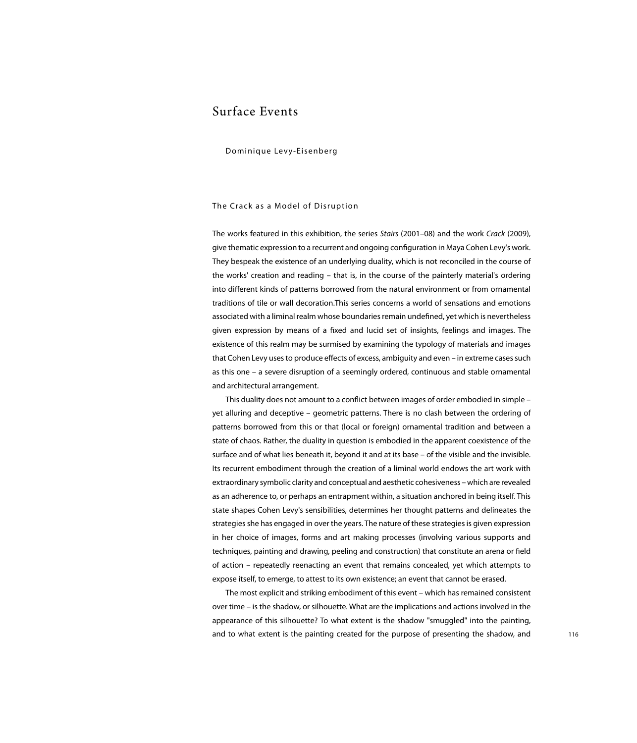# Surface Events

#### Dominique Levy-Eisenberg

### The Crack as a Model of Disruption

The works featured in this exhibition, the series Stairs (2001-08) and the work Crack (2009), give thematic expression to a recurrent and ongoing configuration in Maya Cohen Levy's work. They bespeak the existence of an underlying duality, which is not reconciled in the course of the works' creation and reading – that is, in the course of the painterly material's ordering into different kinds of patterns borrowed from the natural environment or from ornamental traditions of tile or wall decoration. This series concerns a world of sensations and emotions associated with a liminal realm whose boundaries remain undefined, yet which is nevertheless given expression by means of a fixed and lucid set of insights, feelings and images. The existence of this realm may be surmised by examining the typology of materials and images that Cohen Levy uses to produce effects of excess, ambiguity and even – in extreme cases such as this one – a severe disruption of a seemingly ordered, continuous and stable ornamental and architectural arrangement.

This duality does not amount to a conflict between images of order embodied in simple yet alluring and deceptive – geometric patterns. There is no clash between the ordering of patterns borrowed from this or that (local or foreign) ornamental tradition and between a state of chaos. Rather, the duality in question is embodied in the apparent coexistence of the surface and of what lies beneath it, beyond it and at its base – of the visible and the invisible. Its recurrent embodiment through the creation of a liminal world endows the art work with extraordinary symbolic clarity and conceptual and aesthetic cohesiveness – which are revealed as an adherence to, or perhaps an entrapment within, a situation anchored in being itself. This state shapes Cohen Levy's sensibilities, determines her thought patterns and delineates the strategies she has engaged in over the years. The nature of these strategies is given expression in her choice of images, forms and art making processes (involving various supports and techniques, painting and drawing, peeling and construction) that constitute an arena or field of action - repeatedly reenacting an event that remains concealed, yet which attempts to expose itself, to emerge, to attest to its own existence; an event that cannot be erased.

The most explicit and striking embodiment of this event – which has remained consistent over time - is the shadow, or silhouette. What are the implications and actions involved in the appearance of this silhouette? To what extent is the shadow "smuggled" into the painting, and to what extent is the painting created for the purpose of presenting the shadow, and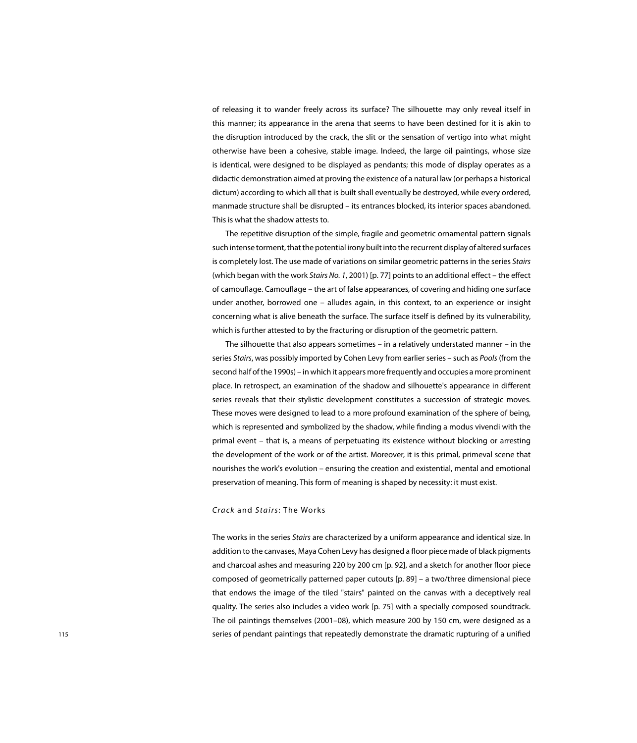of releasing it to wander freely across its surface? The silhouette may only reveal itself in this manner; its appearance in the arena that seems to have been destined for it is akin to the disruption introduced by the crack, the slit or the sensation of vertigo into what might otherwise have been a cohesive, stable image. Indeed, the large oil paintings, whose size is identical, were designed to be displayed as pendants; this mode of display operates as a didactic demonstration aimed at proving the existence of a natural law (or perhaps a historical dictum) according to which all that is built shall eventually be destroyed, while every ordered, manmade structure shall be disrupted – its entrances blocked, its interior spaces abandoned. This is what the shadow attests to.

The repetitive disruption of the simple, fragile and geometric ornamental pattern signals such intense torment, that the potential irony built into the recurrent display of altered surfaces is completely lost. The use made of variations on similar geometric patterns in the series Stairs (which began with the work Stairs No. 1, 2001) [p. 77] points to an additional effect - the effect of camouflage. Camouflage – the art of false appearances, of covering and hiding one surface under another, borrowed one – alludes again, in this context, to an experience or insight concerning what is alive beneath the surface. The surface itself is defined by its vulnerability, which is further attested to by the fracturing or disruption of the geometric pattern.

The silhouette that also appears sometimes – in a relatively understated manner – in the series Stairs, was possibly imported by Cohen Levy from earlier series – such as Pools (from the second half of the 1990s) – in which it appears more frequently and occupies a more prominent place. In retrospect, an examination of the shadow and silhouette's appearance in different series reveals that their stylistic development constitutes a succession of strategic moves. These moves were designed to lead to a more profound examination of the sphere of being, which is represented and symbolized by the shadow, while finding a modus vivendi with the primal event – that is, a means of perpetuating its existence without blocking or arresting the development of the work or of the artist. Moreover, it is this primal, primeval scene that nourishes the work's evolution – ensuring the creation and existential, mental and emotional preservation of meaning. This form of meaning is shaped by necessity: it must exist.

### **Crack and Stairs: The Works**

The works in the series *Stairs* are characterized by a uniform appearance and identical size. In addition to the canvases, Maya Cohen Levy has designed a floor piece made of black pigments and charcoal ashes and measuring 220 by 200 cm [p. 92], and a sketch for another floor piece composed of geometrically patterned paper cutouts [p. 89] – a two/three dimensional piece that endows the image of the tiled "stairs" painted on the canvas with a deceptively real quality. The series also includes a video work [p. 75] with a specially composed soundtrack. The oil paintings themselves (2001-08), which measure 200 by 150 cm, were designed as a series of pendant paintings that repeatedly demonstrate the dramatic rupturing of a unified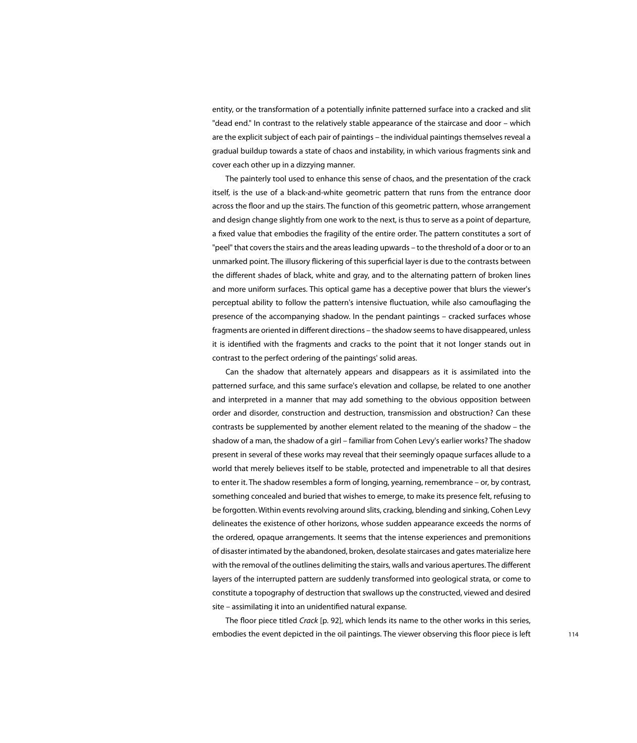entity, or the transformation of a potentially infinite patterned surface into a cracked and slit "dead end." In contrast to the relatively stable appearance of the staircase and door - which are the explicit subject of each pair of paintings – the individual paintings themselves reveal a gradual buildup towards a state of chaos and instability, in which various fragments sink and cover each other up in a dizzying manner.

The painterly tool used to enhance this sense of chaos, and the presentation of the crack itself, is the use of a black-and-white geometric pattern that runs from the entrance door across the floor and up the stairs. The function of this geometric pattern, whose arrangement and design change slightly from one work to the next, is thus to serve as a point of departure, a fixed value that embodies the fragility of the entire order. The pattern constitutes a sort of "peel" that covers the stairs and the areas leading upwards – to the threshold of a door or to an unmarked point. The illusory flickering of this superficial layer is due to the contrasts between the different shades of black, white and gray, and to the alternating pattern of broken lines and more uniform surfaces. This optical game has a deceptive power that blurs the viewer's perceptual ability to follow the pattern's intensive fluctuation, while also camouflaging the presence of the accompanying shadow. In the pendant paintings – cracked surfaces whose fragments are oriented in different directions – the shadow seems to have disappeared, unless it is identified with the fragments and cracks to the point that it not longer stands out in contrast to the perfect ordering of the paintings' solid areas.

Can the shadow that alternately appears and disappears as it is assimilated into the patterned surface, and this same surface's elevation and collapse, be related to one another and interpreted in a manner that may add something to the obvious opposition between order and disorder, construction and destruction, transmission and obstruction? Can these contrasts be supplemented by another element related to the meaning of the shadow - the shadow of a man, the shadow of a girl – familiar from Cohen Levy's earlier works? The shadow present in several of these works may reveal that their seemingly opaque surfaces allude to a world that merely believes itself to be stable, protected and impenetrable to all that desires to enter it. The shadow resembles a form of longing, yearning, remembrance – or, by contrast, something concealed and buried that wishes to emerge, to make its presence felt, refusing to be forgotten. Within events revolving around slits, cracking, blending and sinking, Cohen Levy delineates the existence of other horizons, whose sudden appearance exceeds the norms of the ordered, opaque arrangements. It seems that the intense experiences and premonitions of disaster intimated by the abandoned, broken, desolate staircases and gates materialize here with the removal of the outlines delimiting the stairs, walls and various apertures. The different layers of the interrupted pattern are suddenly transformed into geological strata, or come to constitute a topography of destruction that swallows up the constructed, viewed and desired site - assimilating it into an unidentified natural expanse.

The floor piece titled Crack [p. 92], which lends its name to the other works in this series, embodies the event depicted in the oil paintings. The viewer observing this floor piece is left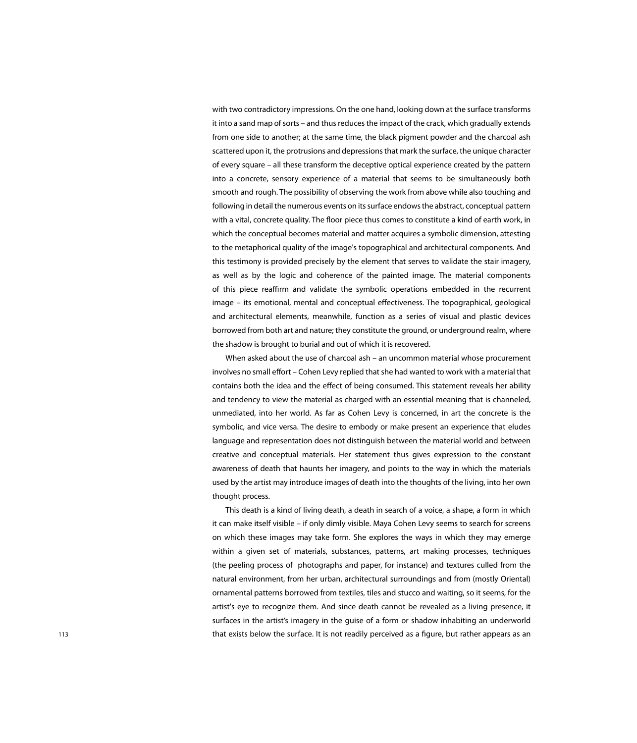with two contradictory impressions. On the one hand, looking down at the surface transforms it into a sand map of sorts – and thus reduces the impact of the crack, which gradually extends from one side to another; at the same time, the black pigment powder and the charcoal ash scattered upon it, the protrusions and depressions that mark the surface, the unique character of every square – all these transform the deceptive optical experience created by the pattern into a concrete, sensory experience of a material that seems to be simultaneously both smooth and rough. The possibility of observing the work from above while also touching and following in detail the numerous events on its surface endows the abstract, conceptual pattern with a vital, concrete quality. The floor piece thus comes to constitute a kind of earth work, in which the conceptual becomes material and matter acquires a symbolic dimension, attesting to the metaphorical quality of the image's topographical and architectural components. And this testimony is provided precisely by the element that serves to validate the stair imagery, as well as by the logic and coherence of the painted image. The material components of this piece reaffirm and validate the symbolic operations embedded in the recurrent image – its emotional, mental and conceptual effectiveness. The topographical, geological and architectural elements, meanwhile, function as a series of visual and plastic devices borrowed from both art and nature; they constitute the ground, or underground realm, where the shadow is brought to burial and out of which it is recovered.

When asked about the use of charcoal ash – an uncommon material whose procurement involves no small effort – Cohen Levy replied that she had wanted to work with a material that contains both the idea and the effect of being consumed. This statement reveals her ability and tendency to view the material as charged with an essential meaning that is channeled, unmediated, into her world. As far as Cohen Levy is concerned, in art the concrete is the symbolic, and vice versa. The desire to embody or make present an experience that eludes language and representation does not distinguish between the material world and between creative and conceptual materials. Her statement thus gives expression to the constant awareness of death that haunts her imagery, and points to the way in which the materials used by the artist may introduce images of death into the thoughts of the living, into her own thought process.

This death is a kind of living death, a death in search of a voice, a shape, a form in which it can make itself visible – if only dimly visible. Maya Cohen Levy seems to search for screens on which these images may take form. She explores the ways in which they may emerge within a given set of materials, substances, patterns, art making processes, techniques (the peeling process of photographs and paper, for instance) and textures culled from the natural environment, from her urban, architectural surroundings and from (mostly Oriental) ornamental patterns borrowed from textiles, tiles and stucco and waiting, so it seems, for the artist's eye to recognize them. And since death cannot be revealed as a living presence, it surfaces in the artist's imagery in the guise of a form or shadow inhabiting an underworld that exists below the surface. It is not readily perceived as a figure, but rather appears as an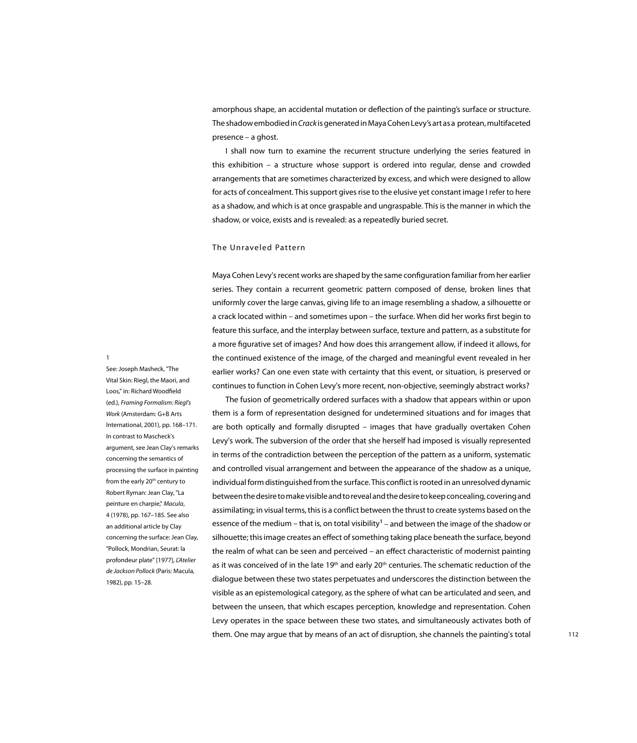amorphous shape, an accidental mutation or deflection of the painting's surface or structure. The shadow embodied in *Crack* is generated in Maya Cohen Levy's art as a protean, multifaceted  $p$ resence – a ghost.

I shall now turn to examine the recurrent structure underlying the series featured in this exhibition – a structure whose support is ordered into regular, dense and crowded arrangements that are sometimes characterized by excess, and which were designed to allow for acts of concealment. This support gives rise to the elusive yet constant image I refer to here as a shadow, and which is at once graspable and ungraspable. This is the manner in which the shadow, or voice, exists and is revealed: as a repeatedly buried secret.

# The Unraveled Pattern

Maya Cohen Levy's recent works are shaped by the same configuration familiar from her earlier series. They contain a recurrent geometric pattern composed of dense, broken lines that uniformly cover the large canvas, giving life to an image resembling a shadow, a silhouette or a crack located within – and sometimes upon – the surface. When did her works first begin to feature this surface, and the interplay between surface, texture and pattern, as a substitute for a more figurative set of images? And how does this arrangement allow, if indeed it allows, for the continued existence of the image, of the charged and meaningful event revealed in her earlier works? Can one even state with certainty that this event, or situation, is preserved or continues to function in Cohen Levy's more recent, non-objective, seemingly abstract works?

The fusion of geometrically ordered surfaces with a shadow that appears within or upon them is a form of representation designed for undetermined situations and for images that are both optically and formally disrupted – images that have gradually overtaken Cohen Levy's work. The subversion of the order that she herself had imposed is visually represented in terms of the contradiction between the perception of the pattern as a uniform, systematic and controlled visual arrangement and between the appearance of the shadow as a unique, individual form distinguished from the surface. This conflict is rooted in an unresolved dynamic between the desire to make visible and to reveal and the desire to keep concealing, covering and assimilating; in visual terms, this is a conflict between the thrust to create systems based on the essence of the medium  $-$  that is, on total visibility<sup>1</sup> – and between the image of the shadow or silhouette; this image creates an effect of something taking place beneath the surface, beyond the realm of what can be seen and perceived  $-$  an effect characteristic of modernist painting as it was conceived of in the late 19<sup>th</sup> and early 20<sup>th</sup> centuries. The schematic reduction of the dialogue between these two states perpetuates and underscores the distinction between the visible as an epistemological category, as the sphere of what can be articulated and seen, and between the unseen, that which escapes perception, knowledge and representation. Cohen Levy operates in the space between these two states, and simultaneously activates both of them. One may arque that by means of an act of disruption, she channels the painting's total

1

See: Joseph Masheck, "The Vital Skin: Riegl, the Maori, and Loos." in: Richard Woodfield *(ed.), Framing Formalism: Riegl's* **Work (Amsterdam: G+B Arts** International, 2001), pp. 168-171. In contrast to Mascheck's argument, see Jean Clay's remarks concerning the semantics of processing the surface in painting from the early  $20<sup>th</sup>$  century to Robert Ryman: Jean Clay, "La peinture en charpie," Macula, 4 (1978), pp. 167-185. See also an additional article by Clay concerning the surface: Jean Clay, "Pollock, Mondrian, Seurat: la profondeur plate" [1977], L'Atelier de Jackson Pollock (Paris: Macula. 1982), pp. 15-28.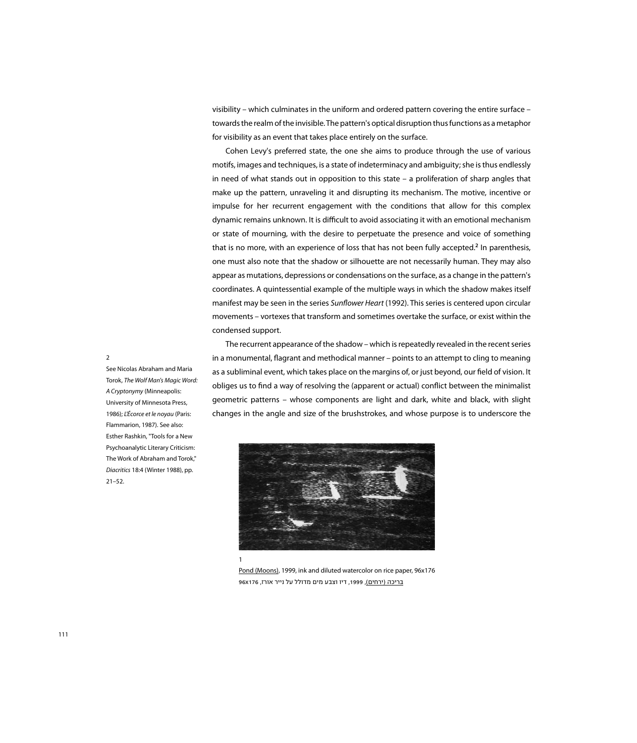visibility – which culminates in the uniform and ordered pattern covering the entire surface – towards the realm of the invisible. The pattern's optical disruption thus functions as a metaphor for visibility as an event that takes place entirely on the surface.

Cohen Levy's preferred state, the one she aims to produce through the use of various motifs, images and techniques, is a state of indeterminacy and ambiguity; she is thus endlessly in need of what stands out in opposition to this state  $-$  a proliferation of sharp angles that make up the pattern, unraveling it and disrupting its mechanism. The motive, incentive or impulse for her recurrent engagement with the conditions that allow for this complex dynamic remains unknown. It is difficult to avoid associating it with an emotional mechanism or state of mourning, with the desire to perpetuate the presence and voice of something that is no more, with an experience of loss that has not been fully accepted.<sup>2</sup> In parenthesis, one must also note that the shadow or silhouette are not necessarily human. They may also appear as mutations, depressions or condensations on the surface, as a change in the pattern's coordinates. A quintessential example of the multiple ways in which the shadow makes itself manifest may be seen in the series Sunflower Heart (1992). This series is centered upon circular movements - vortexes that transform and sometimes overtake the surface, or exist within the condensed support.

The recurrent appearance of the shadow – which is repeatedly revealed in the recent series in a monumental, flagrant and methodical manner – points to an attempt to cling to meaning as a subliminal event, which takes place on the margins of, or just beyond, our field of vision. It obliges us to find a way of resolving the (apparent or actual) conflict between the minimalist geometric patterns – whose components are light and dark, white and black, with slight changes in the angle and size of the brushstrokes, and whose purpose is to underscore the



Pond (Moons), 1999, ink and diluted watercolor on rice paper, 96x176 בריכה )ירחים(, ,1999 דיו וצבע מים מדולל על נייר אורז, 176x96

 $\overline{2}$ 

See Nicolas Abraham and Maria Torok, The Wolf Man's Magic Word:  $A$  Cryptonymy (Minneapolis: University of Minnesota Press, 1986); L'Écorce et le noyau (Paris: Flammarion, 1987). See also: Esther Rashkin, "Tools for a New Psychoanalytic Literary Criticism: The Work of Abraham and Torok," Diacritics 18:4 (Winter 1988), pp.  $21 - 52$ .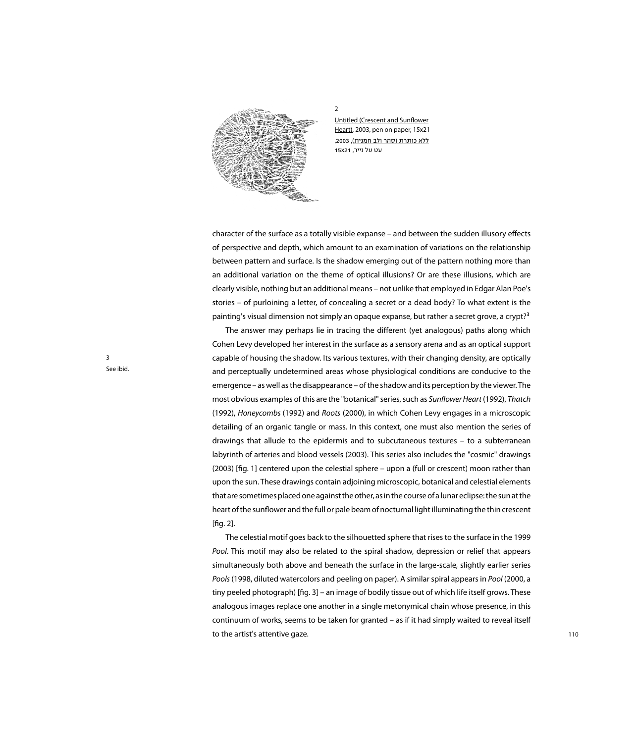

Untitled (Crescent and Sunflower Heart), 2003, pen on paper, 15x21 <u>ללא כותרת (סהר ולב חמנית),</u> 2003,

עט על נייר, 21x15

 $\overline{2}$ 

character of the surface as a totally visible expanse – and between the sudden illusory effects of perspective and depth, which amount to an examination of variations on the relationship between pattern and surface. Is the shadow emerging out of the pattern nothing more than an additional variation on the theme of optical illusions? Or are these illusions, which are clearly visible, nothing but an additional means – not unlike that employed in Edgar Alan Poe's stories – of purloining a letter, of concealing a secret or a dead body? To what extent is the painting's visual dimension not simply an opaque expanse, but rather a secret grove, a crypt?<sup>3</sup>

The answer may perhaps lie in tracing the different (yet analogous) paths along which Cohen Levy developed her interest in the surface as a sensory arena and as an optical support capable of housing the shadow. Its various textures, with their changing density, are optically and perceptually undetermined areas whose physiological conditions are conducive to the emergence – as well as the disappearance – of the shadow and its perception by the viewer. The *Thatch* , most obvious examples of this are the "botanical" series, such as Sunflower Heart (1992), Thatch (1992), Honeycombs (1992) and Roots (2000), in which Cohen Levy engages in a microscopic detailing of an organic tangle or mass. In this context, one must also mention the series of drawings that allude to the epidermis and to subcutaneous textures  $-$  to a subterranean labyrinth of arteries and blood vessels (2003). This series also includes the "cosmic" drawings  $(2003)$  [fig. 1] centered upon the celestial sphere – upon a (full or crescent) moon rather than upon the sun. These drawings contain adjoining microscopic, botanical and celestial elements that are sometimes placed one against the other, as in the course of a lunar eclipse: the sun at the heart of the sunflower and the full or pale beam of nocturnal light illuminating the thin crescent  $[fig. 2]$ .

The celestial motif goes back to the silhouetted sphere that rises to the surface in the 1999 Pool. This motif may also be related to the spiral shadow, depression or relief that appears simultaneously both above and beneath the surface in the large-scale, slightly earlier series Pools (1998, diluted watercolors and peeling on paper). A similar spiral appears in Pool (2000, a tiny peeled photograph) [fig. 3] – an image of bodily tissue out of which life itself grows. These analogous images replace one another in a single metonymical chain whose presence, in this continuum of works, seems to be taken for granted - as if it had simply waited to reveal itself to the artist's attentive gaze.

3 See ibid.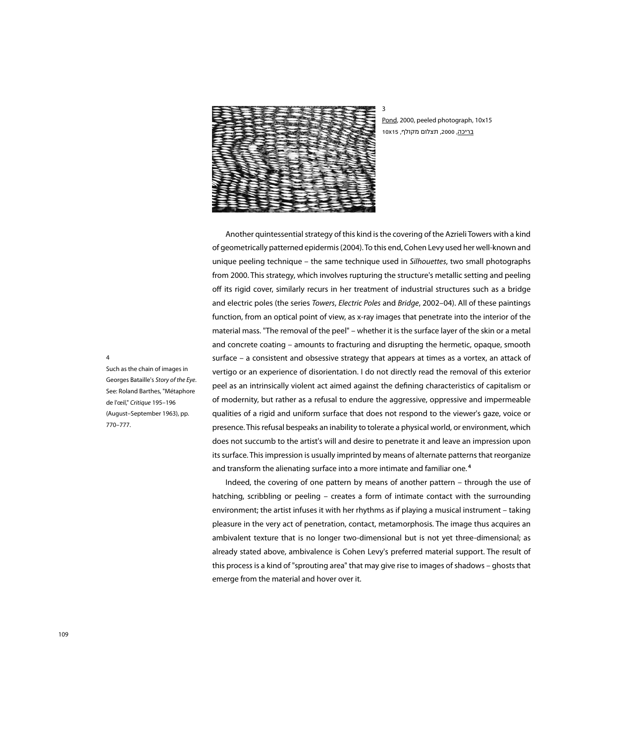

Pond, 2000, peeled photograph, 10x15 בריכה, ,2000 תצלום מקולף, 15x10

Another quintessential strategy of this kind is the covering of the Azrieli Towers with a kind of geometrically patterned epidermis (2004). To this end, Cohen Levy used her well-known and unique peeling technique – the same technique used in *Silhouettes*, two small photographs from 2000. This strategy, which involves rupturing the structure's metallic setting and peeling off its rigid cover, similarly recurs in her treatment of industrial structures such as a bridge and electric poles (the series *Towers, Electric Poles and Bridge, 2002–04*). All of these paintings function, from an optical point of view, as x-ray images that penetrate into the interior of the material mass. "The removal of the peel" – whether it is the surface layer of the skin or a metal and concrete coating – amounts to fracturing and disrupting the hermetic, opaque, smooth surface  $-$  a consistent and obsessive strategy that appears at times as a vortex, an attack of vertigo or an experience of disorientation. I do not directly read the removal of this exterior peel as an intrinsically violent act aimed against the defining characteristics of capitalism or of modernity, but rather as a refusal to endure the aggressive, oppressive and impermeable qualities of a rigid and uniform surface that does not respond to the viewer's gaze, voice or presence. This refusal bespeaks an inability to tolerate a physical world, or environment, which does not succumb to the artist's will and desire to penetrate it and leave an impression upon its surface. This impression is usually imprinted by means of alternate patterns that reorganize and transform the alienating surface into a more intimate and familiar one.<sup>4</sup>

Indeed, the covering of one pattern by means of another pattern  $-$  through the use of hatching, scribbling or peeling – creates a form of intimate contact with the surrounding environment; the artist infuses it with her rhythms as if playing a musical instrument – taking pleasure in the very act of penetration, contact, metamorphosis. The image thus acquires an ambivalent texture that is no longer two-dimensional but is not yet three-dimensional; as already stated above, ambivalence is Cohen Levy's preferred material support. The result of this process is a kind of "sprouting area" that may give rise to images of shadows – ghosts that emerge from the material and hover over it.

4

Such as the chain of images in Georges Bataille's Story of the Eye. See: Roland Barthes, "Métaphore de l'œil," Critique 195-196 (August-September 1963), pp. 770-777.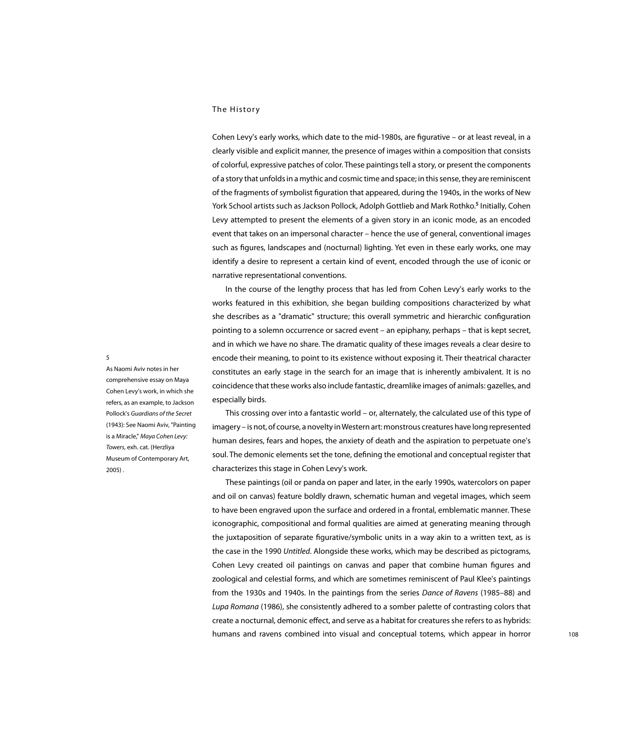## The History

Cohen Levy's early works, which date to the mid-1980s, are figurative – or at least reveal, in a clearly visible and explicit manner, the presence of images within a composition that consists of colorful, expressive patches of color. These paintings tell a story, or present the components of a story that unfolds in a mythic and cosmic time and space: in this sense, they are reminiscent of the fragments of symbolist figuration that appeared, during the 1940s, in the works of New York School artists such as Jackson Pollock, Adolph Gottlieb and Mark Rothko.<sup>5</sup> Initially, Cohen Levy attempted to present the elements of a given story in an iconic mode, as an encoded event that takes on an impersonal character – hence the use of general, conventional images such as figures, landscapes and (nocturnal) lighting. Yet even in these early works, one may identify a desire to represent a certain kind of event, encoded through the use of iconic or narrative representational conventions.

In the course of the lengthy process that has led from Cohen Levy's early works to the works featured in this exhibition, she began building compositions characterized by what she describes as a "dramatic" structure; this overall symmetric and hierarchic configuration pointing to a solemn occurrence or sacred event – an epiphany, perhaps – that is kept secret, and in which we have no share. The dramatic quality of these images reveals a clear desire to encode their meaning, to point to its existence without exposing it. Their theatrical character constitutes an early stage in the search for an image that is inherently ambivalent. It is no coincidence that these works also include fantastic, dreamlike images of animals: gazelles, and especially birds.

This crossing over into a fantastic world – or, alternately, the calculated use of this type of imagery - is not, of course, a novelty in Western art: monstrous creatures have long represented human desires, fears and hopes, the anxiety of death and the aspiration to perpetuate one's soul. The demonic elements set the tone, defining the emotional and conceptual register that characterizes this stage in Cohen Levy's work.

These paintings (oil or panda on paper and later, in the early 1990s, watercolors on paper and oil on canvas) feature boldly drawn, schematic human and vegetal images, which seem to have been engraved upon the surface and ordered in a frontal, emblematic manner. These iconographic, compositional and formal gualities are aimed at generating meaning through the juxtaposition of separate figurative/symbolic units in a way akin to a written text, as is the case in the 1990 Untitled. Alongside these works, which may be described as pictograms, Cohen Levy created oil paintings on canvas and paper that combine human figures and zoological and celestial forms, and which are sometimes reminiscent of Paul Klee's paintings from the 1930s and 1940s. In the paintings from the series Dance of Ravens (1985-88) and Lupa Romana (1986), she consistently adhered to a somber palette of contrasting colors that create a nocturnal, demonic effect, and serve as a habitat for creatures she refers to as hybrids: humans and ravens combined into visual and conceptual totems, which appear in horror

5

As Naomi Aviv notes in her comprehensive essay on Maya Cohen Levy's work, in which she refers, as an example, to Jackson **Pollock's Guardians of the Secret** (1943): See Naomi Aviv, "Painting is a Miracle," Maya Cohen Levy: Towers, exh. cat. (Herzliya Museum of Contemporary Art,  $2005$ ).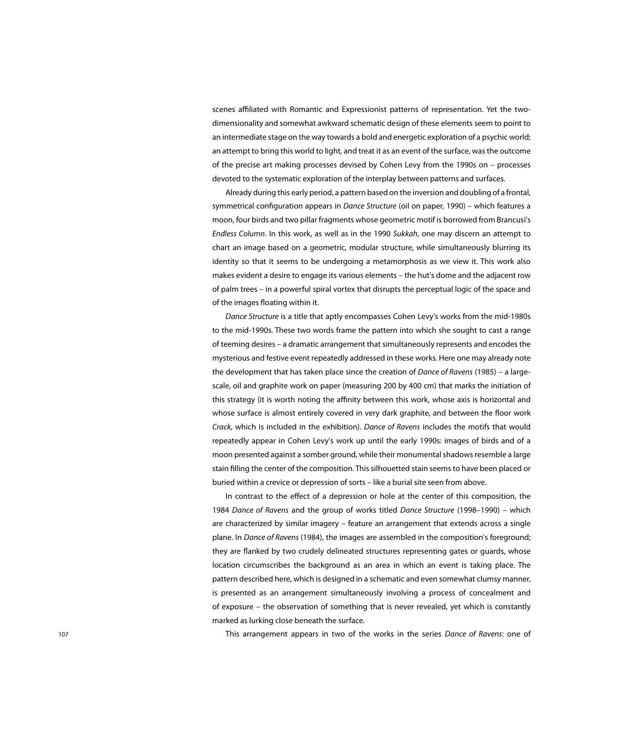dimensionality and somewhat awkward schematic design of these elements seem to point to scenes affiliated with Romantic and Expressionist patterns of representation. Yet the twoan intermediate stage on the way towards a bold and energetic exploration of a psychic world; an attempt to bring this world to light, and treat it as an event of the surface, was the outcome of the precise art making processes devised by Cohen Levy from the 1990s on  $-$  processes devoted to the systematic exploration of the interplay between patterns and surfaces.

Already during this early period, a pattern based on the inversion and doubling of a frontal, symmetrical configuration appears in *Dance Structure* (oil on paper, 1990) – which features a moon, four birds and two pillar fragments whose geometric motif is borrowed from Brancusi's Endless Column. In this work, as well as in the 1990 Sukkah, one may discern an attempt to chart an image based on a geometric, modular structure, while simultaneously blurring its identity so that it seems to be undergoing a metamorphosis as we view it. This work also makes evident a desire to engage its various elements – the hut's dome and the adjacent row of palm trees - in a powerful spiral vortex that disrupts the perceptual logic of the space and of the images floating within it.

Dance Structure is a title that aptly encompasses Cohen Levy's works from the mid-1980s to the mid-1990s. These two words frame the pattern into which she sought to cast a range of teeming desires – a dramatic arrangement that simultaneously represents and encodes the mysterious and festive event repeatedly addressed in these works. Here one may already note scale, oil and graphite work on paper (measuring 200 by 400 cm) that marks the initiation of the development that has taken place since the creation of *Dance of Ravens* (1985) – a largethis strategy (it is worth noting the affinity between this work, whose axis is horizontal and whose surface is almost entirely covered in very dark graphite, and between the floor work Crack, which is included in the exhibition). Dance of Ravens includes the motifs that would repeatedly appear in Cohen Levy's work up until the early 1990s: images of birds and of a moon presented against a somber ground, while their monumental shadows resemble a large stain filling the center of the composition. This silhouetted stain seems to have been placed or buried within a crevice or depression of sorts – like a burial site seen from above.

In contrast to the effect of a depression or hole at the center of this composition, the 1984 Dance of Ravens and the group of works titled Dance Structure (1998–1990) – which are characterized by similar imagery – feature an arrangement that extends across a single plane. In *Dance of Ravens* (1984), the images are assembled in the composition's foreground; they are flanked by two crudely delineated structures representing gates or guards, whose location circumscribes the background as an area in which an event is taking place. The pattern described here, which is designed in a schematic and even somewhat clumsy manner, is presented as an arrangement simultaneously involving a process of concealment and of exposure – the observation of something that is never revealed, yet which is constantly marked as lurking close beneath the surface.

This arrangement appears in two of the works in the series *Dance of Ravens*; one of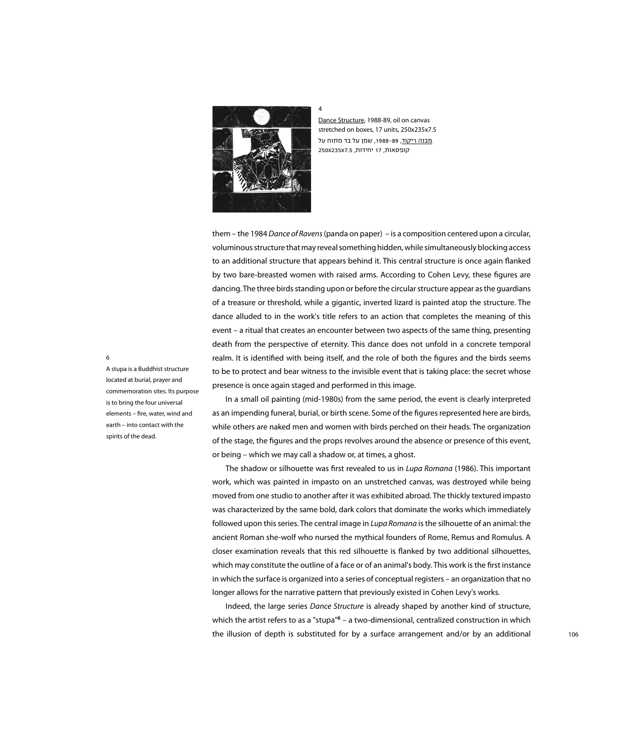

Dance Structure, 1988-89, oil on canvas stretched on boxes 17 units 250x235x7.5 <u>מבנה ריקוד,</u> 89–1988, שמן על בד מתוח על קופסאות, 17 יחידות, 7.5x235x250

4

them - the 1984 Dance of Ravens (panda on paper) – is a composition centered upon a circular, voluminous structure that may reveal something hidden, while simultaneously blocking access to an additional structure that appears behind it. This central structure is once again flanked by two bare-breasted women with raised arms. According to Cohen Levy, these figures are dancing. The three birds standing upon or before the circular structure appear as the quardians of a treasure or threshold, while a gigantic, inverted lizard is painted atop the structure. The dance alluded to in the work's title refers to an action that completes the meaning of this event - a ritual that creates an encounter between two aspects of the same thing, presenting death from the perspective of eternity. This dance does not unfold in a concrete temporal realm. It is identified with being itself, and the role of both the figures and the birds seems to be to protect and bear witness to the invisible event that is taking place: the secret whose presence is once again staged and performed in this image.

In a small oil painting (mid-1980s) from the same period, the event is clearly interpreted as an impending funeral, burial, or birth scene. Some of the figures represented here are birds, while others are naked men and women with birds perched on their heads. The organization of the stage, the figures and the props revolves around the absence or presence of this event, or being – which we may call a shadow or, at times, a ghost.

The shadow or silhouette was first revealed to us in *Lupa Romana* (1986). This important work, which was painted in impasto on an unstretched canvas, was destroyed while being moved from one studio to another after it was exhibited abroad. The thickly textured impasto was characterized by the same bold, dark colors that dominate the works which immediately followed upon this series. The central image in *Lupa Romana* is the silhouette of an animal: the ancient Roman she-wolf who nursed the mythical founders of Rome, Remus and Romulus. A closer examination reveals that this red silhouette is flanked by two additional silhouettes, which may constitute the outline of a face or of an animal's body. This work is the first instance in which the surface is organized into a series of conceptual registers - an organization that no longer allows for the narrative pattern that previously existed in Cohen Levy's works.

Indeed, the large series *Dance Structure* is already shaped by another kind of structure, which the artist refers to as a "stupa"<sup>6</sup> - a two-dimensional, centralized construction in which the illusion of depth is substituted for by a surface arrangement and/or by an additional

A stupa is a Buddhist structure located at burial, prayer and commemoration sites. Its purpose is to bring the four universal elements – fire, water, wind and  $earth - into contact with the$ 

spirits of the dead.

6

106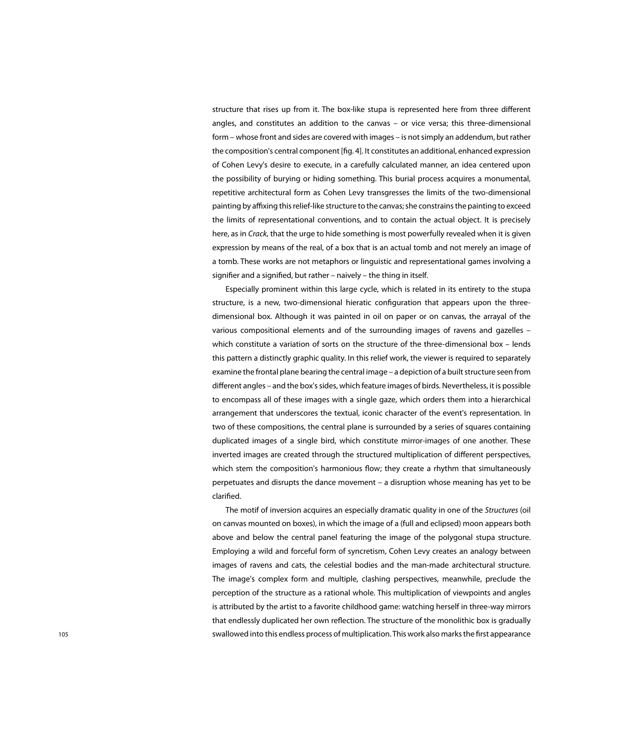structure that rises up from it. The box-like stupa is represented here from three different angles, and constitutes an addition to the canvas – or vice versa; this three-dimensional form – whose front and sides are covered with images – is not simply an addendum, but rather the composition's central component [fig. 4]. It constitutes an additional, enhanced expression of Cohen Levy's desire to execute, in a carefully calculated manner, an idea centered upon the possibility of burying or hiding something. This burial process acquires a monumental. repetitive architectural form as Cohen Levy transgresses the limits of the two-dimensional painting by affixing this relief-like structure to the canvas; she constrains the painting to exceed the limits of representational conventions, and to contain the actual object. It is precisely here, as in *Crack*, that the urge to hide something is most powerfully revealed when it is given expression by means of the real, of a box that is an actual tomb and not merely an image of a tomb. These works are not metaphors or linguistic and representational games involving a signifier and a signified, but rather – naively – the thing in itself.

Especially prominent within this large cycle, which is related in its entirety to the stupa dimensional box. Although it was painted in oil on paper or on canvas, the arrayal of the structure, is a new, two-dimensional hieratic configuration that appears upon the threevarious compositional elements and of the surrounding images of ravens and gazelles which constitute a variation of sorts on the structure of the three-dimensional box – lends this pattern a distinctly graphic quality. In this relief work, the viewer is required to separately examine the frontal plane bearing the central image – a depiction of a built structure seen from different angles – and the box's sides, which feature images of birds. Nevertheless, it is possible to encompass all of these images with a single gaze, which orders them into a hierarchical arrangement that underscores the textual, iconic character of the event's representation. In two of these compositions, the central plane is surrounded by a series of squares containing duplicated images of a single bird, which constitute mirror-images of one another. These inverted images are created through the structured multiplication of different perspectives, which stem the composition's harmonious flow; they create a rhythm that simultaneously perpetuates and disrupts the dance movement  $-$  a disruption whose meaning has yet to be .clarified

The motif of inversion acquires an especially dramatic quality in one of the Structures (oil on canvas mounted on boxes), in which the image of a (full and eclipsed) moon appears both above and below the central panel featuring the image of the polygonal stupa structure. Employing a wild and forceful form of syncretism, Cohen Levy creates an analogy between images of ravens and cats, the celestial bodies and the man-made architectural structure. The image's complex form and multiple, clashing perspectives, meanwhile, preclude the perception of the structure as a rational whole. This multiplication of viewpoints and angles is attributed by the artist to a favorite childhood game: watching herself in three-way mirrors that endlessly duplicated her own reflection. The structure of the monolithic box is gradually swallowed into this endless process of multiplication. This work also marks the first appearance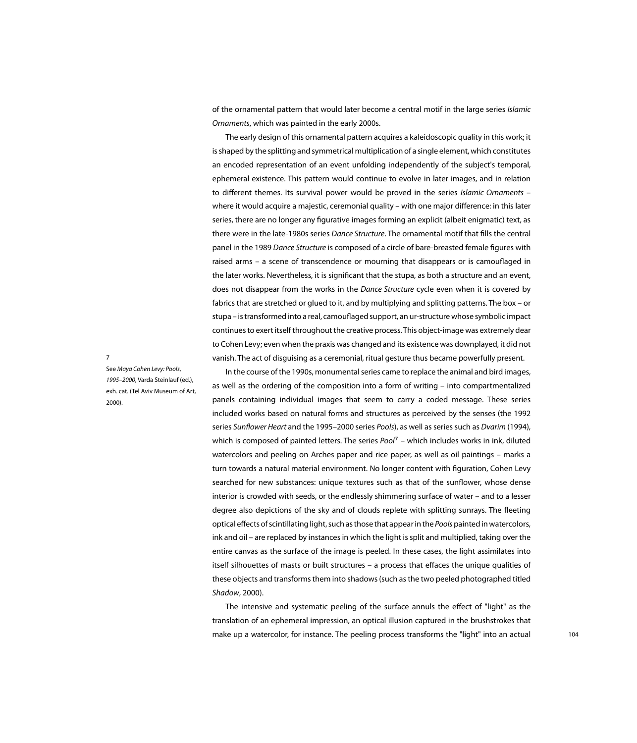of the ornamental pattern that would later become a central motif in the large series Islamic Ornaments, which was painted in the early 2000s.

The early design of this ornamental pattern acquires a kaleidoscopic quality in this work; it is shaped by the splitting and symmetrical multiplication of a single element, which constitutes an encoded representation of an event unfolding independently of the subject's temporal, ephemeral existence. This pattern would continue to evolve in later images, and in relation to different themes. Its survival power would be proved in the series *Islamic Ornaments* where it would acquire a majestic, ceremonial quality – with one major difference: in this later series, there are no longer any figurative images forming an explicit (albeit enigmatic) text, as there were in the late-1980s series *Dance Structure*. The ornamental motif that fills the central panel in the 1989 Dance Structure is composed of a circle of bare-breasted female figures with raised arms – a scene of transcendence or mourning that disappears or is camouflaged in the later works. Nevertheless, it is significant that the stupa, as both a structure and an event, does not disappear from the works in the *Dance Structure cycle even when it is covered by* fabrics that are stretched or glued to it, and by multiplying and splitting patterns. The box – or stupa - is transformed into a real, camouflaged support, an ur-structure whose symbolic impact continues to exert itself throughout the creative process. This object-image was extremely dear to Cohen Levy: even when the praxis was changed and its existence was downplayed, it did not vanish. The act of disguising as a ceremonial, ritual gesture thus became powerfully present.

In the course of the 1990s, monumental series came to replace the animal and bird images, as well as the ordering of the composition into a form of writing  $-$  into compartmentalized panels containing individual images that seem to carry a coded message. These series included works based on natural forms and structures as perceived by the senses (the 1992 series Sunflower Heart and the 1995-2000 series Pools), as well as series such as Dvarim (1994), which is composed of painted letters. The series Pool<sup>7</sup> - which includes works in ink, diluted watercolors and peeling on Arches paper and rice paper, as well as oil paintings – marks a turn towards a natural material environment. No longer content with figuration, Cohen Levy searched for new substances: unique textures such as that of the sunflower, whose dense interior is crowded with seeds, or the endlessly shimmering surface of water - and to a lesser degree also depictions of the sky and of clouds replete with splitting sunrays. The fleeting optical effects of scintillating light, such as those that appear in the *Pools* painted in watercolors, ink and oil – are replaced by instances in which the light is split and multiplied, taking over the entire canvas as the surface of the image is peeled. In these cases, the light assimilates into itself silhouettes of masts or built structures – a process that effaces the unique qualities of these objects and transforms them into shadows (such as the two peeled photographed titled .(2000 ,*Shadow*

The intensive and systematic peeling of the surface annuls the effect of "light" as the translation of an ephemeral impression, an optical illusion captured in the brushstrokes that make up a watercolor, for instance. The peeling process transforms the "light" into an actual

7

See Maya Cohen Levy: Pools, 1995-2000, Varda Steinlauf (ed.), exh. cat. (Tel Aviv Museum of Art. .(2000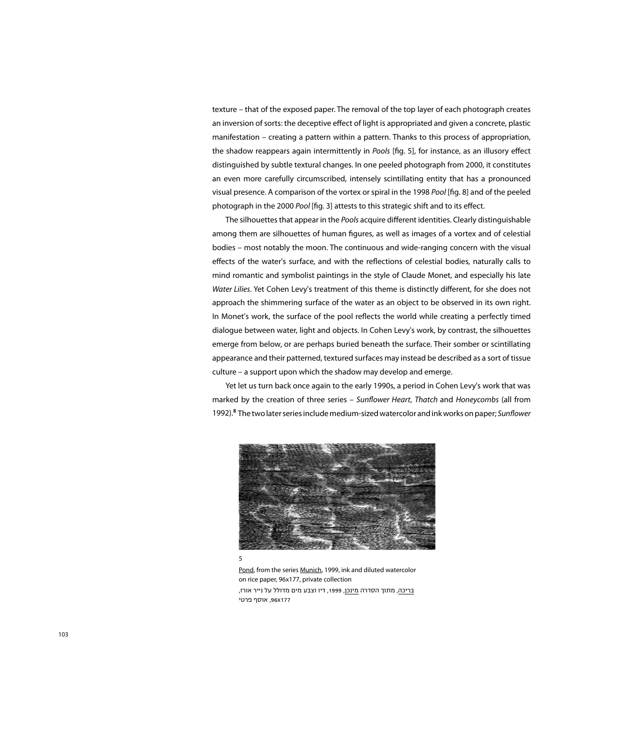texture – that of the exposed paper. The removal of the top layer of each photograph creates an inversion of sorts: the deceptive effect of light is appropriated and given a concrete, plastic manifestation – creating a pattern within a pattern. Thanks to this process of appropriation, the shadow reappears again intermittently in *Pools* [fig. 5], for instance, as an illusory effect distinguished by subtle textural changes. In one peeled photograph from 2000, it constitutes an even more carefully circumscribed, intensely scintillating entity that has a pronounced visual presence. A comparison of the vortex or spiral in the 1998 Pool [fig. 8] and of the peeled photograph in the 2000 Pool [fig. 3] attests to this strategic shift and to its effect.

The silhouettes that appear in the Pools acquire different identities. Clearly distinguishable among them are silhouettes of human figures, as well as images of a vortex and of celestial bodies – most notably the moon. The continuous and wide-ranging concern with the visual effects of the water's surface, and with the reflections of celestial bodies, naturally calls to mind romantic and symbolist paintings in the style of Claude Monet, and especially his late Water Lilies. Yet Cohen Levy's treatment of this theme is distinctly different, for she does not approach the shimmering surface of the water as an object to be observed in its own right. In Monet's work, the surface of the pool reflects the world while creating a perfectly timed dialogue between water, light and objects. In Cohen Levy's work, by contrast, the silhouettes emerge from below, or are perhaps buried beneath the surface. Their somber or scintillating appearance and their patterned, textured surfaces may instead be described as a sort of tissue culture – a support upon which the shadow may develop and emerge.

Yet let us turn back once again to the early 1990s, a period in Cohen Levy's work that was marked by the creation of three series – Sunflower Heart, Thatch and Honeycombs (all from 1992).<sup>8</sup> The two later series include medium-sized watercolor and ink works on paper; Sunflower



Pond, from the series Munich, 1999, ink and diluted watercolor on rice paper, 96x177, private collection

בריכה, מתוך הסדרה <u>מינכן,</u> 1999, דיו וצבע מים מדולל על נייר אורז, 96x177, אוסף פרטי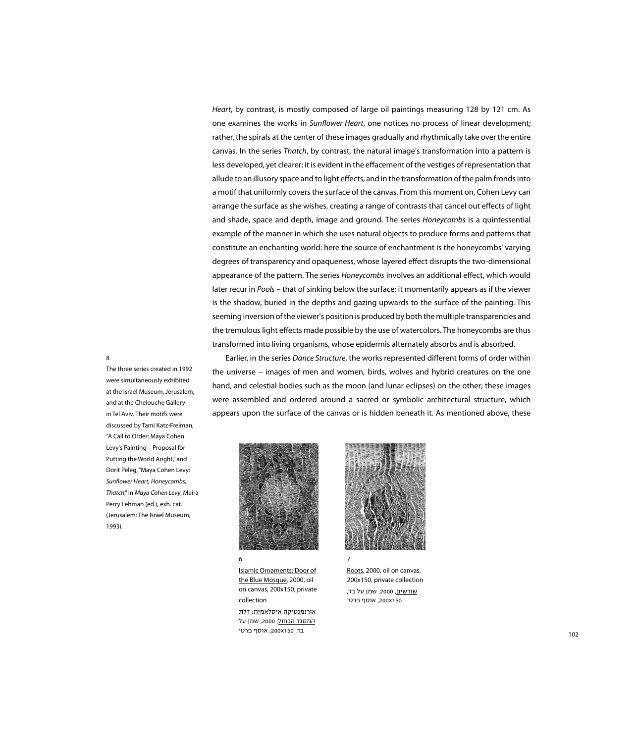Heart, by contrast, is mostly composed of large oil paintings measuring 128 by 121 cm. As one examines the works in Sunflower Heart, one notices no process of linear development; rather, the spirals at the center of these images gradually and rhythmically take over the entire canvas. In the series Thatch, by contrast, the natural image's transformation into a pattern is less developed, yet clearer; it is evident in the effacement of the vestiges of representation that allude to an illusory space and to light effects, and in the transformation of the palm fronds into a motif that uniformly covers the surface of the canvas. From this moment on, Cohen Levy can arrange the surface as she wishes, creating a range of contrasts that cancel out effects of light and shade, space and depth, image and ground. The series Honeycombs is a quintessential example of the manner in which she uses natural objects to produce forms and patterns that constitute an enchanting world: here the source of enchantment is the honeycombs' varying degrees of transparency and opaqueness, whose layered effect disrupts the two-dimensional appearance of the pattern. The series Honeycombs involves an additional effect, which would later recur in Pools - that of sinking below the surface; it momentarily appears as if the viewer is the shadow, buried in the depths and gazing upwards to the surface of the painting. This seeming inversion of the viewer's position is produced by both the multiple transparencies and the tremulous light effects made possible by the use of watercolors. The honeycombs are thus transformed into living organisms, whose epidermis alternately absorbs and is absorbed.

Earlier, in the series Dance Structure, the works represented different forms of order within the universe – images of men and women, birds, wolves and hybrid creatures on the one hand, and celestial bodies such as the moon (and lunar eclipses) on the other; these images were assembled and ordered around a sacred or symbolic architectural structure, which appears upon the surface of the canvas or is hidden beneath it. As mentioned above, these



Islamic Ornaments: Door of the Blue Mosque, 2000, oil on canvas, 200x150, private collection

אורנמנטיקה איסלאמית: דלת <u>המסגד הכחול,</u> 2000, שמן על בד, 150x,200 אוסף פרטי



Roots, 2000, oil on canvas. 200x150, private collection <u>שורשים,</u> 2000, שמן על בד, 150x,200 אוסף פרטי

8

The three series created in 1992 were simultaneously exhibited at the Israel Museum, Jerusalem, and at the Chelouche Gallery in Tel Aviv. Their motifs were discussed by Tami Katz-Freiman, "A Call to Order: Maya Cohen Levy's Painting – Proposal for Putting the World Aright," and Dorit Peleg, "Maya Cohen Levy: **Sunflower Heart, Honeycombs,** *Thatch*," in Maya Cohen Levy, Meira Perry Lehman (ed.), exh. cat. (Jerusalem: The Israel Museum, 1993).